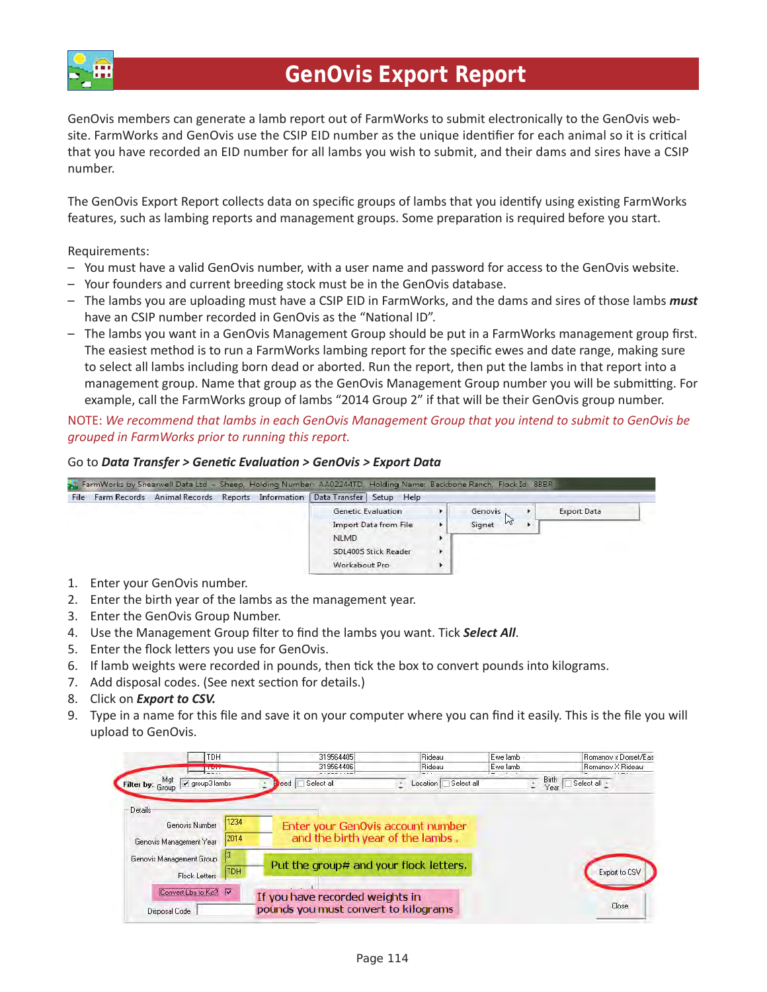

GenOvis members can generate a lamb report out of FarmWorks to submit electronically to the GenOvis website. FarmWorks and GenOvis use the CSIP EID number as the unique identifier for each animal so it is critical that you have recorded an EID number for all lambs you wish to submit, and their dams and sires have a CSIP number.

The GenOvis Export Report collects data on specific groups of lambs that you identify using existing FarmWorks features, such as lambing reports and management groups. Some preparation is required before you start.

Requirements:

- You must have a valid GenOvis number, with a user name and password for access to the GenOvis website.
- Your founders and current breeding stock must be in the GenOvis database.
- The lambs you are uploading must have a CSIP EID in FarmWorks, and the dams and sires of those lambs *must* have an CSIP number recorded in GenOvis as the "National ID".
- $-$  The lambs you want in a GenOvis Management Group should be put in a FarmWorks management group first. The easiest method is to run a FarmWorks lambing report for the specific ewes and date range, making sure to select all lambs including born dead or aborted. Run the report, then put the lambs in that report into a management group. Name that group as the GenOvis Management Group number you will be submitting. For example, call the FarmWorks group of lambs "2014 Group 2" if that will be their GenOvis group number.

NOTE: *We recommend that lambs in each GenOvis Management Group that you intend to submit to GenOvis be grouped in FarmWorks prior to running this report.*

## Go to *Data Transfer > Genetic Evaluation > GenOvis > Export Data*

| File | Farm Records Animal Records Reports Information   Data Transfer   Setup Help |  |               |                             |                 |                    |  |
|------|------------------------------------------------------------------------------|--|---------------|-----------------------------|-----------------|--------------------|--|
|      |                                                                              |  |               | <b>Genetic Evaluation</b>   | Genovis         | <b>Export Data</b> |  |
|      |                                                                              |  |               | Import Data from File       | $h^2$<br>Signet |                    |  |
|      |                                                                              |  | <b>NLMD</b>   |                             |                 |                    |  |
|      |                                                                              |  |               | <b>SDL400S Stick Reader</b> |                 |                    |  |
|      |                                                                              |  | Workabout Pro |                             |                 |                    |  |

- 1. Enter your GenOvis number.
- 2. Enter the birth year of the lambs as the management year.
- 3. Enter the GenOvis Group Number.
- 4. Use the Management Group filter to find the lambs you want. Tick **Select All**.
- 5. Enter the flock letters you use for GenOvis.
- 6. If lamb weights were recorded in pounds, then tick the box to convert pounds into kilograms.
- 7. Add disposal codes. (See next section for details.)
- 8. Click on *Export to CSV.*
- 9. Type in a name for this file and save it on your computer where you can find it easily. This is the file you will upload to GenOvis.

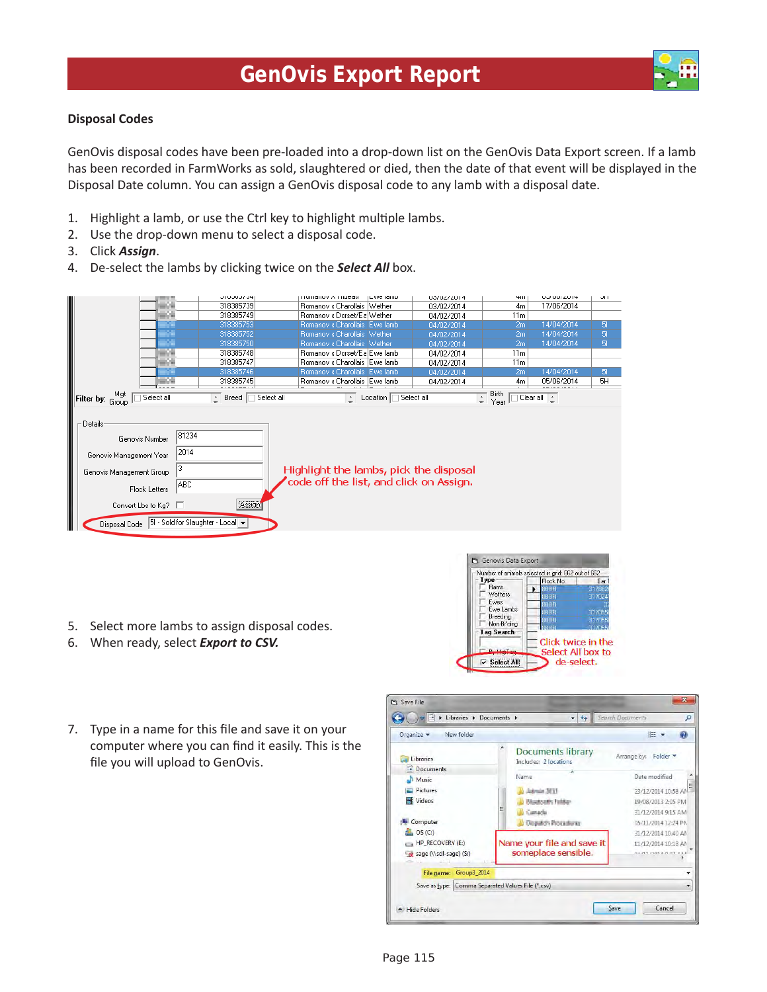

GenOvis disposal codes have been pre-loaded into a drop-down list on the GenOvis Data Export screen. If a lamb has been recorded in FarmWorks as sold, slaughtered or died, then the date of that event will be displayed in the Disposal Date column. You can assign a GenOvis disposal code to any lamb with a disposal date.

- 1. Highlight a lamb, or use the Ctrl key to highlight multiple lambs.
- 2. Use the drop-down menu to select a disposal code.
- 3. Click *Assign*.
- 4. De-select the lambs by clicking twice on the *Select All* box.



- 5. Select more lambs to assign disposal codes.
- 6. When ready, select *Export to CSV.*



7. Type in a name for this file and save it on your computer where you can find it easily. This is the file you will upload to GenOvis.

| Organize -<br>New folder                          |   |                                                   |                                                                                       | <b>BE</b>           |
|---------------------------------------------------|---|---------------------------------------------------|---------------------------------------------------------------------------------------|---------------------|
| Libraries<br>Documents                            |   | <b>Documents library</b><br>Includes: 2 locations | Arrange by:<br>Folder *<br>Date modified<br>23/12/2014 10:58 AM<br>19/08/2013 2:05 PM |                     |
| Music                                             |   | Name                                              |                                                                                       |                     |
| Pictures                                          |   | Admin 3EEE                                        |                                                                                       |                     |
| Videos                                            |   | <b>Bluetoath Felder</b>                           |                                                                                       |                     |
|                                                   | Ξ | Canada                                            |                                                                                       | 31/12/2014 9:15 AM  |
| Computer                                          |   | Deputch Procedures                                |                                                                                       | 05/11/2014 12:24 PM |
| OS(C)                                             |   |                                                   | 31/12/2014 10:40 AM<br>11/12/2014 10:18 AM                                            |                     |
| HP_RECOVERY (E:)                                  |   | Name your file and save it                        |                                                                                       |                     |
| Sage (\\sdl-sage) (S:)                            |   | someplace sensible.                               |                                                                                       | ALMERNHANT AL       |
| Group3_2014<br>File name:                         |   |                                                   |                                                                                       |                     |
| Save as type: Comma Separated Values File (*.csv) |   |                                                   |                                                                                       | ٠                   |